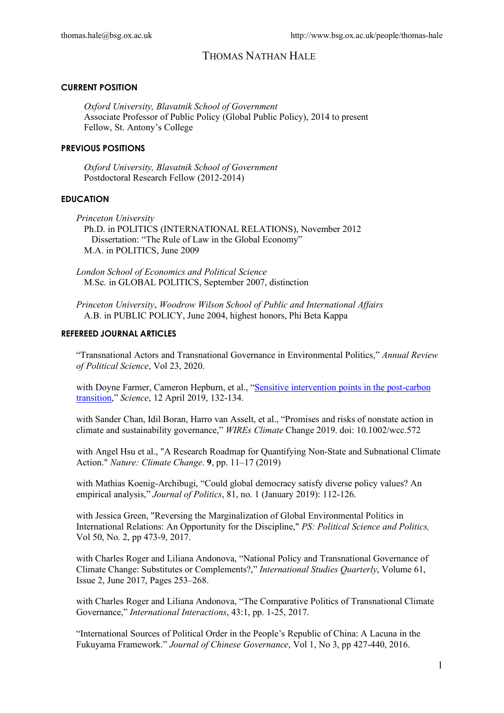#### **CURRENT POSITION**

*Oxford University, Blavatnik School of Government* Associate Professor of Public Policy (Global Public Policy), 2014 to present Fellow, St. Antony's College

#### **PREVIOUS POSITIONS**

*Oxford University, Blavatnik School of Government* Postdoctoral Research Fellow (2012-2014)

### **EDUCATION**

*Princeton University* Ph.D. in POLITICS (INTERNATIONAL RELATIONS), November 2012 Dissertation: "The Rule of Law in the Global Economy" M.A. in POLITICS, June 2009

*London School of Economics and Political Science* M.Sc. in GLOBAL POLITICS, September 2007, distinction

*Princeton University*, *Woodrow Wilson School of Public and International Affairs* A.B. in PUBLIC POLICY, June 2004, highest honors, Phi Beta Kappa

#### **REFEREED JOURNAL ARTICLES**

"Transnational Actors and Transnational Governance in Environmental Politics," *Annual Review of Political Science*, Vol 23, 2020.

with Doyne Farmer, Cameron Hepburn, et al., "Sensitive intervention points in the post-carbon transition," *Science*, 12 April 2019, 132-134.

with Sander Chan, Idil Boran, Harro van Asselt, et al., "Promises and risks of nonstate action in climate and sustainability governance," *WIREs Climate* Change 2019. doi: 10.1002/wcc.572

with Angel Hsu et al., "A Research Roadmap for Quantifying Non-State and Subnational Climate Action." *Nature: Climate Change*. **9**, pp. 11–17 (2019)

with Mathias Koenig-Archibugi, "Could global democracy satisfy diverse policy values? An empirical analysis," *Journal of Politics*, 81, no. 1 (January 2019): 112-126.

with Jessica Green, "Reversing the Marginalization of Global Environmental Politics in International Relations: An Opportunity for the Discipline," *PS: Political Science and Politics,*  Vol 50, No. 2, pp 473-9, 2017.

with Charles Roger and Liliana Andonova, "National Policy and Transnational Governance of Climate Change: Substitutes or Complements?," *International Studies Quarterly*, Volume 61, Issue 2, June 2017, Pages 253–268.

with Charles Roger and Liliana Andonova, "The Comparative Politics of Transnational Climate Governance," *International Interactions*, 43:1, pp. 1-25, 2017.

"International Sources of Political Order in the People's Republic of China: A Lacuna in the Fukuyama Framework." *Journal of Chinese Governance*, Vol 1, No 3, pp 427-440, 2016.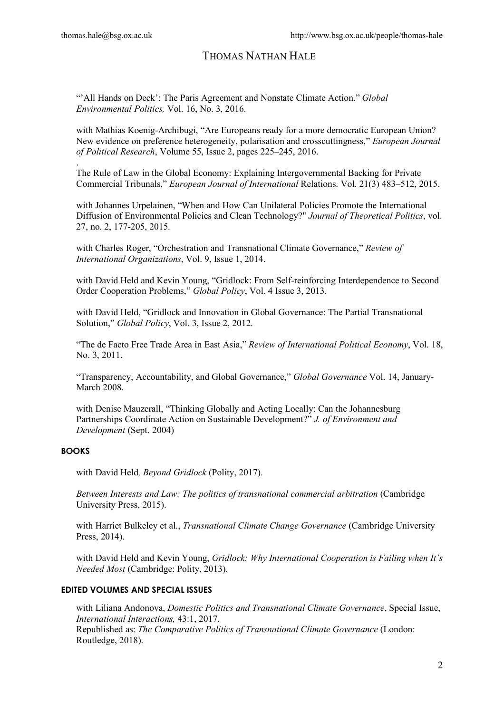.

# THOMAS NATHAN HALE

"'All Hands on Deck': The Paris Agreement and Nonstate Climate Action." *Global Environmental Politics,* Vol. 16, No. 3, 2016.

with Mathias Koenig-Archibugi, "Are Europeans ready for a more democratic European Union? New evidence on preference heterogeneity, polarisation and crosscuttingness," *European Journal of Political Research*, Volume 55, Issue 2, pages 225–245, 2016.

The Rule of Law in the Global Economy: Explaining Intergovernmental Backing for Private Commercial Tribunals," *European Journal of International* Relations. Vol. 21(3) 483–512, 2015.

with Johannes Urpelainen, "When and How Can Unilateral Policies Promote the International Diffusion of Environmental Policies and Clean Technology?" *Journal of Theoretical Politics*, vol. 27, no. 2, 177-205, 2015.

with Charles Roger, "Orchestration and Transnational Climate Governance," *Review of International Organizations*, Vol. 9, Issue 1, 2014.

with David Held and Kevin Young, "Gridlock: From Self-reinforcing Interdependence to Second Order Cooperation Problems," *Global Policy*, Vol. 4 Issue 3, 2013.

with David Held, "Gridlock and Innovation in Global Governance: The Partial Transnational Solution," *Global Policy*, Vol. 3, Issue 2, 2012.

"The de Facto Free Trade Area in East Asia," *Review of International Political Economy*, Vol. 18, No. 3, 2011.

"Transparency, Accountability, and Global Governance," *Global Governance* Vol. 14, January-March 2008.

with Denise Mauzerall, "Thinking Globally and Acting Locally: Can the Johannesburg Partnerships Coordinate Action on Sustainable Development?" *J. of Environment and Development* (Sept. 2004)

### **BOOKS**

with David Held*, Beyond Gridlock* (Polity, 2017).

*Between Interests and Law: The politics of transnational commercial arbitration* (Cambridge University Press, 2015).

with Harriet Bulkeley et al., *Transnational Climate Change Governance* (Cambridge University Press, 2014).

with David Held and Kevin Young, *Gridlock: Why International Cooperation is Failing when It's Needed Most* (Cambridge: Polity, 2013).

### **EDITED VOLUMES AND SPECIAL ISSUES**

with Liliana Andonova, *Domestic Politics and Transnational Climate Governance*, Special Issue, *International Interactions,* 43:1, 2017. Republished as: *The Comparative Politics of Transnational Climate Governance* (London: Routledge, 2018).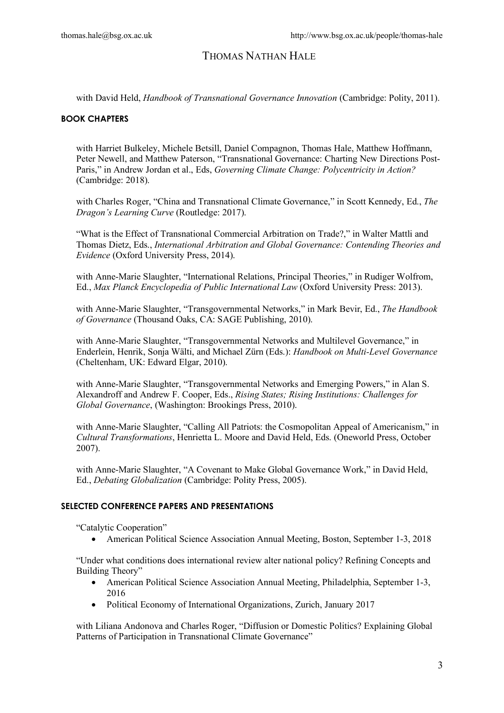with David Held, *Handbook of Transnational Governance Innovation* (Cambridge: Polity, 2011).

### **BOOK CHAPTERS**

with Harriet Bulkeley, Michele Betsill, Daniel Compagnon, Thomas Hale, Matthew Hoffmann, Peter Newell, and Matthew Paterson, "Transnational Governance: Charting New Directions Post-Paris," in Andrew Jordan et al., Eds, *Governing Climate Change: Polycentricity in Action?* (Cambridge: 2018).

with Charles Roger, "China and Transnational Climate Governance," in Scott Kennedy, Ed., *The Dragon's Learning Curve* (Routledge: 2017).

"What is the Effect of Transnational Commercial Arbitration on Trade?," in Walter Mattli and Thomas Dietz, Eds., *International Arbitration and Global Governance: Contending Theories and Evidence* (Oxford University Press, 2014).

with Anne-Marie Slaughter, "International Relations, Principal Theories," in Rudiger Wolfrom, Ed., *Max Planck Encyclopedia of Public International Law* (Oxford University Press: 2013).

with Anne-Marie Slaughter, "Transgovernmental Networks," in Mark Bevir, Ed., *The Handbook of Governance* (Thousand Oaks, CA: SAGE Publishing, 2010).

with Anne-Marie Slaughter, "Transgovernmental Networks and Multilevel Governance," in Enderlein, Henrik, Sonja Wälti, and Michael Zürn (Eds.): *Handbook on Multi-Level Governance* (Cheltenham, UK: Edward Elgar, 2010).

with Anne-Marie Slaughter, "Transgovernmental Networks and Emerging Powers," in Alan S. Alexandroff and Andrew F. Cooper, Eds., *Rising States; Rising Institutions: Challenges for Global Governance*, (Washington: Brookings Press, 2010).

with Anne-Marie Slaughter, "Calling All Patriots: the Cosmopolitan Appeal of Americanism," in *Cultural Transformations*, Henrietta L. Moore and David Held, Eds. (Oneworld Press, October 2007).

with Anne-Marie Slaughter, "A Covenant to Make Global Governance Work," in David Held, Ed., *Debating Globalization* (Cambridge: Polity Press, 2005).

### **SELECTED CONFERENCE PAPERS AND PRESENTATIONS**

"Catalytic Cooperation"

• American Political Science Association Annual Meeting, Boston, September 1-3, 2018

"Under what conditions does international review alter national policy? Refining Concepts and Building Theory"

- American Political Science Association Annual Meeting, Philadelphia, September 1-3, 2016
- Political Economy of International Organizations, Zurich, January 2017

with Liliana Andonova and Charles Roger, "Diffusion or Domestic Politics? Explaining Global Patterns of Participation in Transnational Climate Governance"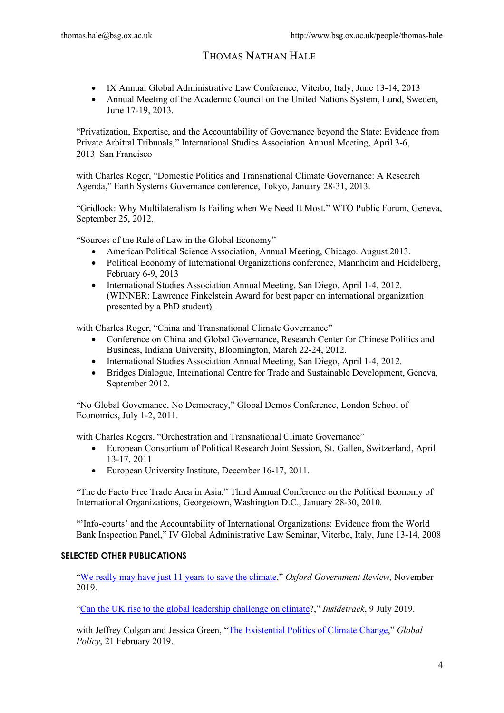- IX Annual Global Administrative Law Conference, Viterbo, Italy, June 13-14, 2013
- Annual Meeting of the Academic Council on the United Nations System, Lund, Sweden, June 17-19, 2013.

"Privatization, Expertise, and the Accountability of Governance beyond the State: Evidence from Private Arbitral Tribunals," International Studies Association Annual Meeting, April 3-6, 2013 San Francisco

with Charles Roger, "Domestic Politics and Transnational Climate Governance: A Research Agenda," Earth Systems Governance conference, Tokyo, January 28-31, 2013.

"Gridlock: Why Multilateralism Is Failing when We Need It Most," WTO Public Forum, Geneva, September 25, 2012.

"Sources of the Rule of Law in the Global Economy"

- American Political Science Association, Annual Meeting, Chicago. August 2013.
- Political Economy of International Organizations conference, Mannheim and Heidelberg, February 6-9, 2013
- International Studies Association Annual Meeting, San Diego, April 1-4, 2012. (WINNER: Lawrence Finkelstein Award for best paper on international organization presented by a PhD student).

with Charles Roger, "China and Transnational Climate Governance"

- Conference on China and Global Governance, Research Center for Chinese Politics and Business, Indiana University, Bloomington, March 22-24, 2012.
- International Studies Association Annual Meeting, San Diego, April 1-4, 2012.
- Bridges Dialogue, International Centre for Trade and Sustainable Development, Geneva, September 2012.

"No Global Governance, No Democracy," Global Demos Conference, London School of Economics, July 1-2, 2011.

with Charles Rogers, "Orchestration and Transnational Climate Governance"

- European Consortium of Political Research Joint Session, St. Gallen, Switzerland, April 13-17, 2011
- European University Institute, December 16-17, 2011.

"The de Facto Free Trade Area in Asia," Third Annual Conference on the Political Economy of International Organizations, Georgetown, Washington D.C., January 28-30, 2010.

"'Info-courts' and the Accountability of International Organizations: Evidence from the World Bank Inspection Panel," IV Global Administrative Law Seminar, Viterbo, Italy, June 13-14, 2008

### **SELECTED OTHER PUBLICATIONS**

"We really may have just 11 years to save the climate," *Oxford Government Review*, November 2019.

"Can the UK rise to the global leadership challenge on climate?," *Insidetrack*, 9 July 2019.

with Jeffrey Colgan and Jessica Green, "The Existential Politics of Climate Change," *Global Policy*, 21 February 2019.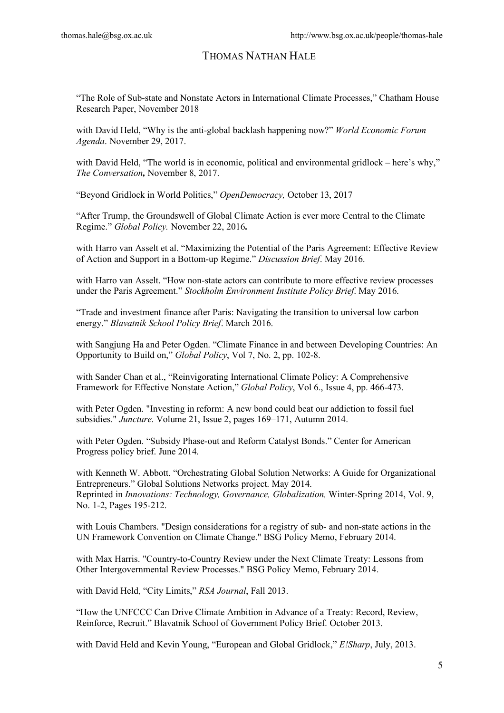"The Role of Sub-state and Nonstate Actors in International Climate Processes," Chatham House Research Paper, November 2018

with David Held, "Why is the anti-global backlash happening now?" *World Economic Forum Agenda*. November 29, 2017.

with David Held, "The world is in economic, political and environmental gridlock – here's why," *The Conversation,* November 8, 2017.

"Beyond Gridlock in World Politics," *OpenDemocracy,* October 13, 2017

"After Trump, the Groundswell of Global Climate Action is ever more Central to the Climate Regime." *Global Policy.* November 22, 2016**.** 

with Harro van Asselt et al. "Maximizing the Potential of the Paris Agreement: Effective Review of Action and Support in a Bottom-up Regime." *Discussion Brief*. May 2016.

with Harro van Asselt. "How non-state actors can contribute to more effective review processes under the Paris Agreement." *Stockholm Environment Institute Policy Brief*. May 2016.

"Trade and investment finance after Paris: Navigating the transition to universal low carbon energy." *Blavatnik School Policy Brief*. March 2016.

with Sangjung Ha and Peter Ogden. "Climate Finance in and between Developing Countries: An Opportunity to Build on," *Global Policy*, Vol 7, No. 2, pp. 102-8.

with Sander Chan et al., "Reinvigorating International Climate Policy: A Comprehensive Framework for Effective Nonstate Action," *Global Policy*, Vol 6., Issue 4, pp. 466-473.

with Peter Ogden. "Investing in reform: A new bond could beat our addiction to fossil fuel subsidies." *Juncture*. Volume 21, Issue 2, pages 169–171, Autumn 2014.

with Peter Ogden. "Subsidy Phase-out and Reform Catalyst Bonds." Center for American Progress policy brief. June 2014.

with Kenneth W. Abbott. "Orchestrating Global Solution Networks: A Guide for Organizational Entrepreneurs." Global Solutions Networks project. May 2014. Reprinted in *Innovations: Technology, Governance, Globalization,* Winter-Spring 2014, Vol. 9, No. 1-2, Pages 195-212.

with Louis Chambers. "Design considerations for a registry of sub- and non-state actions in the UN Framework Convention on Climate Change." BSG Policy Memo, February 2014.

with Max Harris. "Country-to-Country Review under the Next Climate Treaty: Lessons from Other Intergovernmental Review Processes." BSG Policy Memo, February 2014.

with David Held, "City Limits," *RSA Journal*, Fall 2013.

"How the UNFCCC Can Drive Climate Ambition in Advance of a Treaty: Record, Review, Reinforce, Recruit." Blavatnik School of Government Policy Brief. October 2013.

with David Held and Kevin Young, "European and Global Gridlock," *E!Sharp*, July, 2013.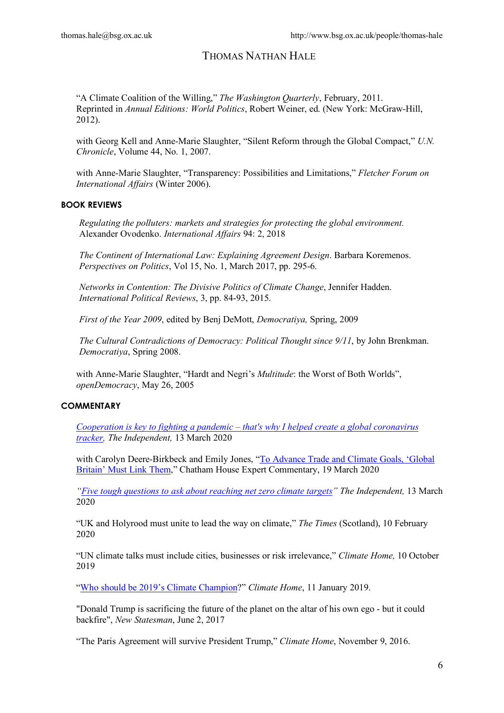"A Climate Coalition of the Willing," *The Washington Quarterly*, February, 2011. Reprinted in *Annual Editions: World Politics*, Robert Weiner, ed. (New York: McGraw-Hill,  $2012$ ).

with Georg Kell and Anne-Marie Slaughter, "Silent Reform through the Global Compact," *U.N. Chronicle*, Volume 44, No. 1, 2007.

with Anne-Marie Slaughter, "Transparency: Possibilities and Limitations," *Fletcher Forum on International Affairs* (Winter 2006).

### **BOOK REVIEWS**

*Regulating the polluters: markets and strategies for protecting the global environment.*  Alexander Ovodenko. *International Affairs* 94: 2, 2018

*The Continent of International Law: Explaining Agreement Design*. Barbara Koremenos. *Perspectives on Politics*, Vol 15, No. 1, March 2017, pp. 295-6.

*Networks in Contention: The Divisive Politics of Climate Change*, Jennifer Hadden. *International Political Reviews*, 3, pp. 84-93, 2015.

*First of the Year 2009*, edited by Benj DeMott, *Democratiya,* Spring, 2009

*The Cultural Contradictions of Democracy: Political Thought since 9/11*, by John Brenkman. *Democratiya*, Spring 2008.

with Anne-Marie Slaughter, "Hardt and Negri's *Multitude*: the Worst of Both Worlds", *openDemocracy*, May 26, 2005

### **COMMENTARY**

*Cooperation is key to fighting a pandemic – that's why I helped create a global coronavirus tracker, The Independent,* 13 March 2020

with Carolyn Deere-Birkbeck and Emily Jones, "To Advance Trade and Climate Goals, 'Global Britain' Must Link Them," Chatham House Expert Commentary, 19 March 2020

*"Five tough questions to ask about reaching net zero climate targets" The Independent,* 13 March 2020

"UK and Holyrood must unite to lead the way on climate," *The Times* (Scotland), 10 February 2020

"UN climate talks must include cities, businesses or risk irrelevance," *Climate Home,* 10 October 2019

"Who should be 2019's Climate Champion?" *Climate Home*, 11 January 2019.

"Donald Trump is sacrificing the future of the planet on the altar of his own ego - but it could backfire", *New Statesman*, June 2, 2017

"The Paris Agreement will survive President Trump," *Climate Home*, November 9, 2016.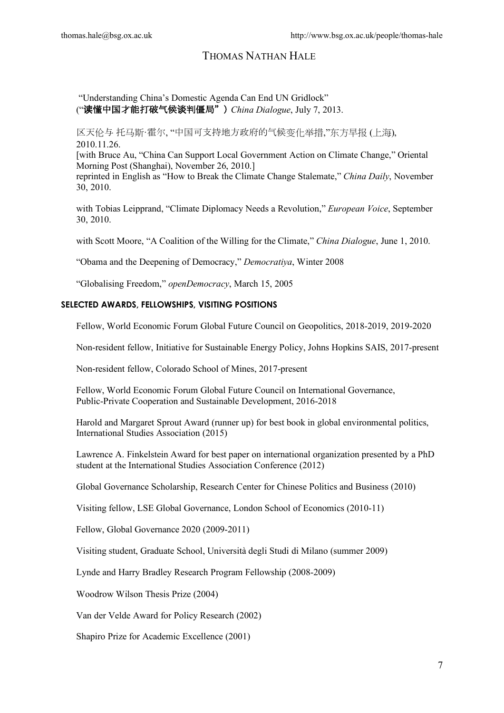"Understanding China's Domestic Agenda Can End UN Gridlock" ("读懂中国才能打破气候谈判僵局") *China Dialogue*, July 7, 2013.

区天伦与 托马斯·霍尔, "中国可支持地方政府的气候变化举措,"东方早报 (上海), 2010.11.26.

[with Bruce Au, "China Can Support Local Government Action on Climate Change," Oriental Morning Post (Shanghai), November 26, 2010.]

reprinted in English as "How to Break the Climate Change Stalemate," *China Daily*, November 30, 2010.

with Tobias Leipprand, "Climate Diplomacy Needs a Revolution," *European Voice*, September 30, 2010.

with Scott Moore, "A Coalition of the Willing for the Climate," *China Dialogue*, June 1, 2010.

"Obama and the Deepening of Democracy," *Democratiya*, Winter 2008

"Globalising Freedom," *openDemocracy*, March 15, 2005

### **SELECTED AWARDS, FELLOWSHIPS, VISITING POSITIONS**

Fellow, World Economic Forum Global Future Council on Geopolitics, 2018-2019, 2019-2020

Non-resident fellow, Initiative for Sustainable Energy Policy, Johns Hopkins SAIS, 2017-present

Non-resident fellow, Colorado School of Mines, 2017-present

Fellow, World Economic Forum Global Future Council on International Governance, Public-Private Cooperation and Sustainable Development, 2016-2018

Harold and Margaret Sprout Award (runner up) for best book in global environmental politics, International Studies Association (2015)

Lawrence A. Finkelstein Award for best paper on international organization presented by a PhD student at the International Studies Association Conference (2012)

Global Governance Scholarship, Research Center for Chinese Politics and Business (2010)

Visiting fellow, LSE Global Governance, London School of Economics (2010-11)

Fellow, Global Governance 2020 (2009-2011)

Visiting student, Graduate School, Università degli Studi di Milano (summer 2009)

Lynde and Harry Bradley Research Program Fellowship (2008-2009)

Woodrow Wilson Thesis Prize (2004)

Van der Velde Award for Policy Research (2002)

Shapiro Prize for Academic Excellence (2001)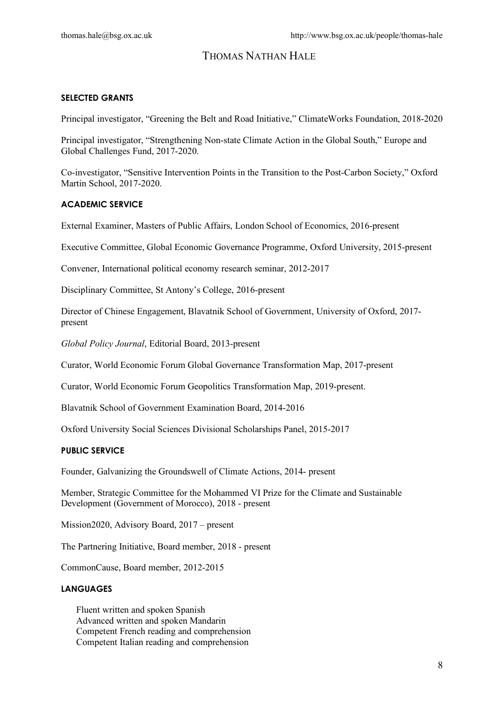### **SELECTED GRANTS**

Principal investigator, "Greening the Belt and Road Initiative," ClimateWorks Foundation, 2018-2020

Principal investigator, "Strengthening Non-state Climate Action in the Global South," Europe and Global Challenges Fund, 2017-2020.

Co-investigator, "Sensitive Intervention Points in the Transition to the Post-Carbon Society," Oxford Martin School, 2017-2020.

#### **ACADEMIC SERVICE**

External Examiner, Masters of Public Affairs, London School of Economics, 2016-present

Executive Committee, Global Economic Governance Programme, Oxford University, 2015-present

Convener, International political economy research seminar, 2012-2017

Disciplinary Committee, St Antony's College, 2016-present

Director of Chinese Engagement, Blavatnik School of Government, University of Oxford, 2017 present

*Global Policy Journal*, Editorial Board, 2013-present

Curator, World Economic Forum Global Governance Transformation Map, 2017-present

Curator, World Economic Forum Geopolitics Transformation Map, 2019-present.

Blavatnik School of Government Examination Board, 2014-2016

Oxford University Social Sciences Divisional Scholarships Panel, 2015-2017

### **PUBLIC SERVICE**

Founder, Galvanizing the Groundswell of Climate Actions, 2014- present

Member, Strategic Committee for the Mohammed VI Prize for the Climate and Sustainable Development (Government of Morocco), 2018 - present

Mission2020, Advisory Board, 2017 – present

The Partnering Initiative, Board member, 2018 - present

CommonCause, Board member, 2012-2015

#### **LANGUAGES**

Fluent written and spoken Spanish Advanced written and spoken Mandarin Competent French reading and comprehension Competent Italian reading and comprehension